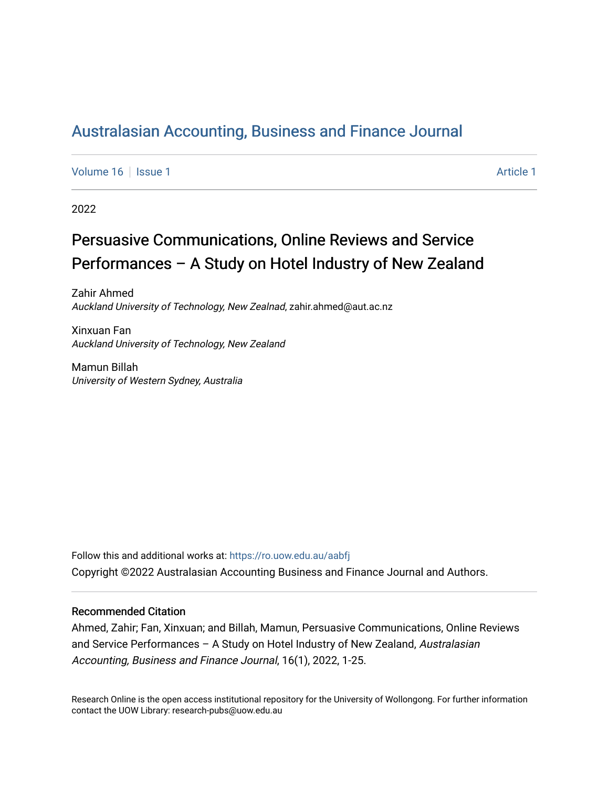# [Australasian Accounting, Business and Finance Journal](https://ro.uow.edu.au/aabfj)

[Volume 16](https://ro.uow.edu.au/aabfj/vol16) | [Issue 1](https://ro.uow.edu.au/aabfj/vol16/iss1) Article 1

2022

# Persuasive Communications, Online Reviews and Service Performances – A Study on Hotel Industry of New Zealand

Zahir Ahmed Auckland University of Technology, New Zealnad, zahir.ahmed@aut.ac.nz

Xinxuan Fan Auckland University of Technology, New Zealand

Mamun Billah University of Western Sydney, Australia

Follow this and additional works at: [https://ro.uow.edu.au/aabfj](https://ro.uow.edu.au/aabfj?utm_source=ro.uow.edu.au%2Faabfj%2Fvol16%2Fiss1%2F1&utm_medium=PDF&utm_campaign=PDFCoverPages) Copyright ©2022 Australasian Accounting Business and Finance Journal and Authors.

#### Recommended Citation

Ahmed, Zahir; Fan, Xinxuan; and Billah, Mamun, Persuasive Communications, Online Reviews and Service Performances – A Study on Hotel Industry of New Zealand, Australasian Accounting, Business and Finance Journal, 16(1), 2022, 1-25.

Research Online is the open access institutional repository for the University of Wollongong. For further information contact the UOW Library: research-pubs@uow.edu.au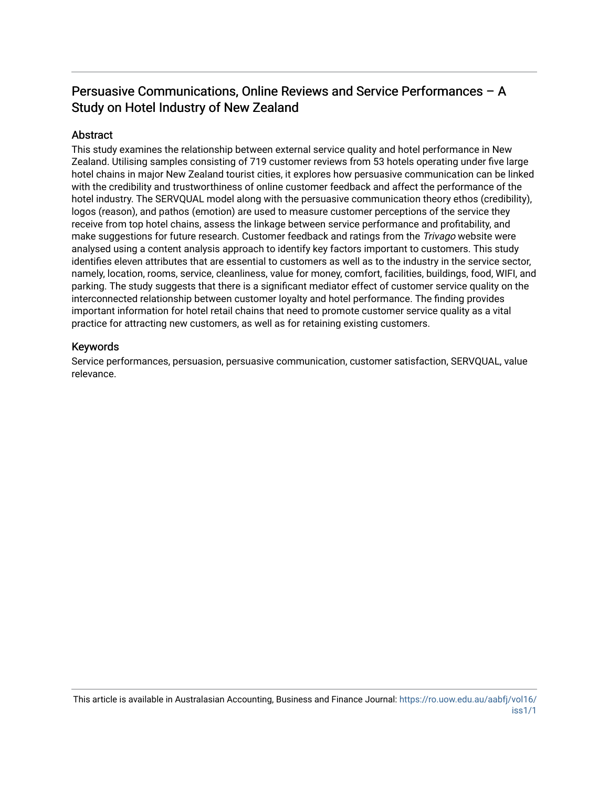# Persuasive Communications, Online Reviews and Service Performances – A Study on Hotel Industry of New Zealand

### **Abstract**

This study examines the relationship between external service quality and hotel performance in New Zealand. Utilising samples consisting of 719 customer reviews from 53 hotels operating under five large hotel chains in major New Zealand tourist cities, it explores how persuasive communication can be linked with the credibility and trustworthiness of online customer feedback and affect the performance of the hotel industry. The SERVQUAL model along with the persuasive communication theory ethos (credibility), logos (reason), and pathos (emotion) are used to measure customer perceptions of the service they receive from top hotel chains, assess the linkage between service performance and profitability, and make suggestions for future research. Customer feedback and ratings from the *Trivago* website were analysed using a content analysis approach to identify key factors important to customers. This study identifies eleven attributes that are essential to customers as well as to the industry in the service sector, namely, location, rooms, service, cleanliness, value for money, comfort, facilities, buildings, food, WIFI, and parking. The study suggests that there is a significant mediator effect of customer service quality on the interconnected relationship between customer loyalty and hotel performance. The finding provides important information for hotel retail chains that need to promote customer service quality as a vital practice for attracting new customers, as well as for retaining existing customers.

#### Keywords

Service performances, persuasion, persuasive communication, customer satisfaction, SERVQUAL, value relevance.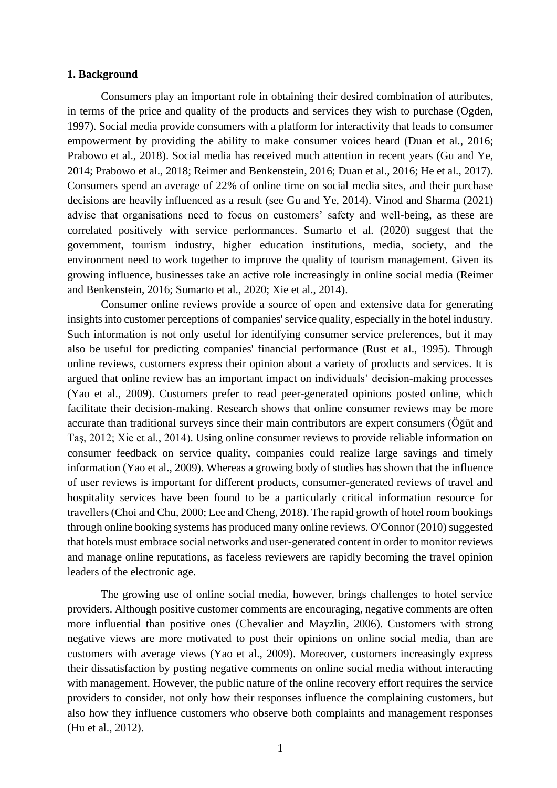#### **1. Background**

Consumers play an important role in obtaining their desired combination of attributes, in terms of the price and quality of the products and services they wish to purchase (Ogden, 1997). Social media provide consumers with a platform for interactivity that leads to consumer empowerment by providing the ability to make consumer voices heard (Duan et al., 2016; Prabowo et al., 2018). Social media has received much attention in recent years (Gu and Ye, 2014; Prabowo et al., 2018; Reimer and Benkenstein, 2016; Duan et al., 2016; He et al., 2017). Consumers spend an average of 22% of online time on social media sites, and their purchase decisions are heavily influenced as a result (see Gu and Ye, 2014). Vinod and Sharma (2021) advise that organisations need to focus on customers' safety and well-being, as these are correlated positively with service performances. Sumarto et al. (2020) suggest that the government, tourism industry, higher education institutions, media, society, and the environment need to work together to improve the quality of tourism management. Given its growing influence, businesses take an active role increasingly in online social media (Reimer and Benkenstein, 2016; Sumarto et al., 2020; Xie et al., 2014).

Consumer online reviews provide a source of open and extensive data for generating insights into customer perceptions of companies' service quality, especially in the hotel industry. Such information is not only useful for identifying consumer service preferences, but it may also be useful for predicting companies' financial performance (Rust et al., 1995). Through online reviews, customers express their opinion about a variety of products and services. It is argued that online review has an important impact on individuals' decision-making processes (Yao et al., 2009). Customers prefer to read peer-generated opinions posted online, which facilitate their decision-making. Research shows that online consumer reviews may be more accurate than traditional surveys since their main contributors are expert consumers (Öğüt and Taş, 2012; Xie et al., 2014). Using online consumer reviews to provide reliable information on consumer feedback on service quality, companies could realize large savings and timely information (Yao et al., 2009). Whereas a growing body of studies has shown that the influence of user reviews is important for different products, consumer-generated reviews of travel and hospitality services have been found to be a particularly critical information resource for travellers(Choi and Chu, 2000; Lee and Cheng, 2018). The rapid growth of hotel room bookings through online booking systems has produced many online reviews. O'Connor (2010) suggested that hotels must embrace social networks and user-generated content in order to monitor reviews and manage online reputations, as faceless reviewers are rapidly becoming the travel opinion leaders of the electronic age.

The growing use of online social media, however, brings challenges to hotel service providers. Although positive customer comments are encouraging, negative comments are often more influential than positive ones (Chevalier and Mayzlin, 2006). Customers with strong negative views are more motivated to post their opinions on online social media, than are customers with average views (Yao et al., 2009). Moreover, customers increasingly express their dissatisfaction by posting negative comments on online social media without interacting with management. However, the public nature of the online recovery effort requires the service providers to consider, not only how their responses influence the complaining customers, but also how they influence customers who observe both complaints and management responses (Hu et al., 2012).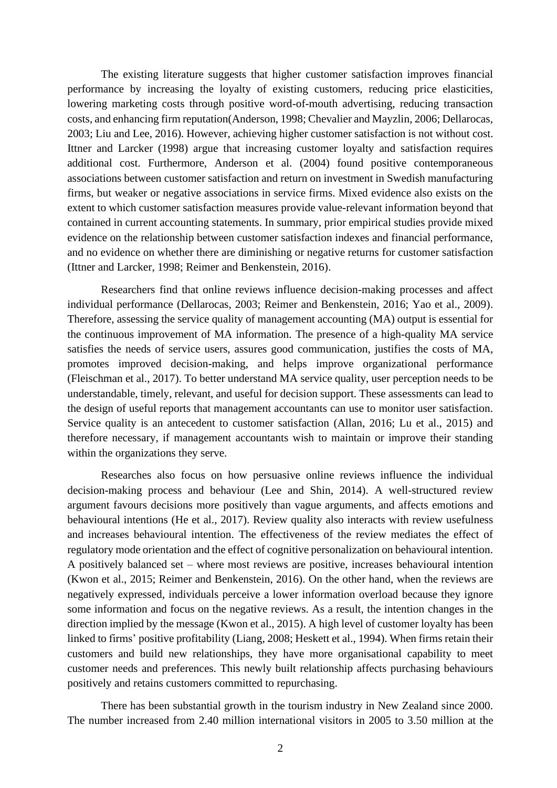The existing literature suggests that higher customer satisfaction improves financial performance by increasing the loyalty of existing customers, reducing price elasticities, lowering marketing costs through positive word-of-mouth advertising, reducing transaction costs, and enhancing firm reputation(Anderson, 1998; Chevalier and Mayzlin, 2006; Dellarocas, 2003; Liu and Lee, 2016). However, achieving higher customer satisfaction is not without cost. Ittner and Larcker (1998) argue that increasing customer loyalty and satisfaction requires additional cost. Furthermore, Anderson et al. (2004) found positive contemporaneous associations between customer satisfaction and return on investment in Swedish manufacturing firms, but weaker or negative associations in service firms. Mixed evidence also exists on the extent to which customer satisfaction measures provide value-relevant information beyond that contained in current accounting statements. In summary, prior empirical studies provide mixed evidence on the relationship between customer satisfaction indexes and financial performance, and no evidence on whether there are diminishing or negative returns for customer satisfaction (Ittner and Larcker, 1998; Reimer and Benkenstein, 2016).

Researchers find that online reviews influence decision-making processes and affect individual performance (Dellarocas, 2003; Reimer and Benkenstein, 2016; Yao et al., 2009). Therefore, assessing the service quality of management accounting (MA) output is essential for the continuous improvement of MA information. The presence of a high-quality MA service satisfies the needs of service users, assures good communication, justifies the costs of MA, promotes improved decision-making, and helps improve organizational performance (Fleischman et al., 2017). To better understand MA service quality, user perception needs to be understandable, timely, relevant, and useful for decision support. These assessments can lead to the design of useful reports that management accountants can use to monitor user satisfaction. Service quality is an antecedent to customer satisfaction (Allan, 2016; Lu et al., 2015) and therefore necessary, if management accountants wish to maintain or improve their standing within the organizations they serve.

Researches also focus on how persuasive online reviews influence the individual decision-making process and behaviour (Lee and Shin, 2014). A well-structured review argument favours decisions more positively than vague arguments, and affects emotions and behavioural intentions (He et al., 2017). Review quality also interacts with review usefulness and increases behavioural intention. The effectiveness of the review mediates the effect of regulatory mode orientation and the effect of cognitive personalization on behavioural intention. A positively balanced set – where most reviews are positive, increases behavioural intention (Kwon et al., 2015; Reimer and Benkenstein, 2016). On the other hand, when the reviews are negatively expressed, individuals perceive a lower information overload because they ignore some information and focus on the negative reviews. As a result, the intention changes in the direction implied by the message (Kwon et al., 2015). A high level of customer loyalty has been linked to firms' positive profitability (Liang, 2008; Heskett et al., 1994). When firms retain their customers and build new relationships, they have more organisational capability to meet customer needs and preferences. This newly built relationship affects purchasing behaviours positively and retains customers committed to repurchasing.

There has been substantial growth in the tourism industry in New Zealand since 2000. The number increased from 2.40 million international visitors in 2005 to 3.50 million at the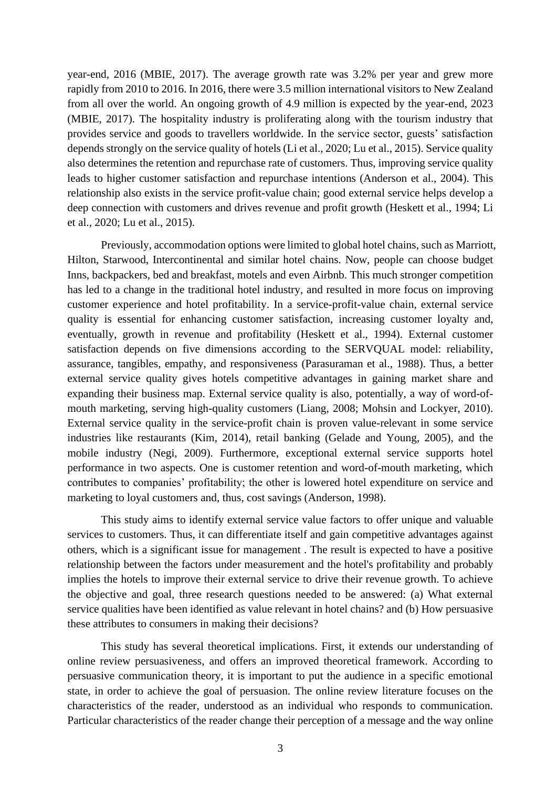year-end, 2016 (MBIE, 2017). The average growth rate was 3.2% per year and grew more rapidly from 2010 to 2016. In 2016, there were 3.5 million international visitors to New Zealand from all over the world. An ongoing growth of 4.9 million is expected by the year-end, 2023 (MBIE, 2017). The hospitality industry is proliferating along with the tourism industry that provides service and goods to travellers worldwide. In the service sector, guests' satisfaction depends strongly on the service quality of hotels (Li et al., 2020; Lu et al., 2015). Service quality also determines the retention and repurchase rate of customers. Thus, improving service quality leads to higher customer satisfaction and repurchase intentions (Anderson et al., 2004). This relationship also exists in the service profit-value chain; good external service helps develop a deep connection with customers and drives revenue and profit growth (Heskett et al., 1994; Li et al., 2020; Lu et al., 2015).

Previously, accommodation options were limited to global hotel chains, such as Marriott, Hilton, Starwood, Intercontinental and similar hotel chains. Now, people can choose budget Inns, backpackers, bed and breakfast, motels and even Airbnb. This much stronger competition has led to a change in the traditional hotel industry, and resulted in more focus on improving customer experience and hotel profitability. In a service-profit-value chain, external service quality is essential for enhancing customer satisfaction, increasing customer loyalty and, eventually, growth in revenue and profitability (Heskett et al., 1994). External customer satisfaction depends on five dimensions according to the SERVQUAL model: reliability, assurance, tangibles, empathy, and responsiveness (Parasuraman et al., 1988). Thus, a better external service quality gives hotels competitive advantages in gaining market share and expanding their business map. External service quality is also, potentially, a way of word-ofmouth marketing, serving high-quality customers (Liang, 2008; Mohsin and Lockyer, 2010). External service quality in the service-profit chain is proven value-relevant in some service industries like restaurants (Kim, 2014), retail banking (Gelade and Young, 2005), and the mobile industry (Negi, 2009). Furthermore, exceptional external service supports hotel performance in two aspects. One is customer retention and word-of-mouth marketing, which contributes to companies' profitability; the other is lowered hotel expenditure on service and marketing to loyal customers and, thus, cost savings (Anderson, 1998).

This study aims to identify external service value factors to offer unique and valuable services to customers. Thus, it can differentiate itself and gain competitive advantages against others, which is a significant issue for management . The result is expected to have a positive relationship between the factors under measurement and the hotel's profitability and probably implies the hotels to improve their external service to drive their revenue growth. To achieve the objective and goal, three research questions needed to be answered: (a) What external service qualities have been identified as value relevant in hotel chains? and (b) How persuasive these attributes to consumers in making their decisions?

This study has several theoretical implications. First, it extends our understanding of online review persuasiveness, and offers an improved theoretical framework. According to persuasive communication theory, it is important to put the audience in a specific emotional state, in order to achieve the goal of persuasion. The online review literature focuses on the characteristics of the reader, understood as an individual who responds to communication. Particular characteristics of the reader change their perception of a message and the way online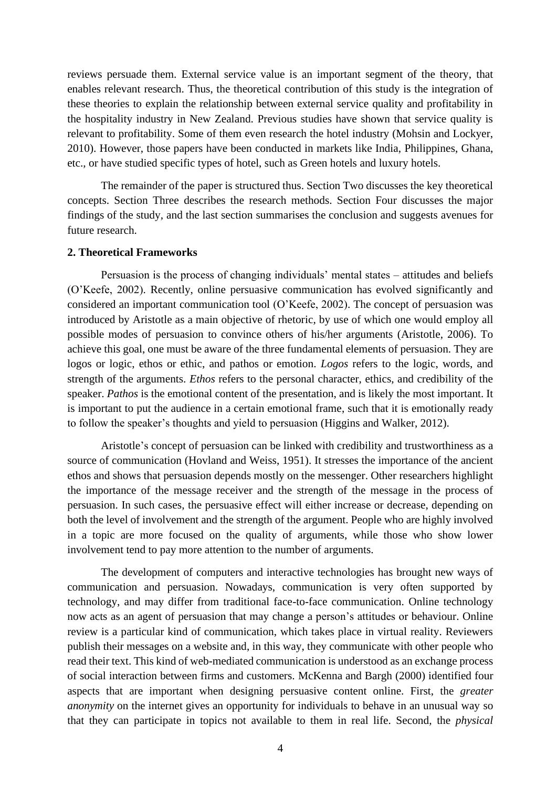reviews persuade them. External service value is an important segment of the theory, that enables relevant research. Thus, the theoretical contribution of this study is the integration of these theories to explain the relationship between external service quality and profitability in the hospitality industry in New Zealand. Previous studies have shown that service quality is relevant to profitability. Some of them even research the hotel industry (Mohsin and Lockyer, 2010). However, those papers have been conducted in markets like India, Philippines, Ghana, etc., or have studied specific types of hotel, such as Green hotels and luxury hotels.

The remainder of the paper is structured thus. Section Two discusses the key theoretical concepts. Section Three describes the research methods. Section Four discusses the major findings of the study, and the last section summarises the conclusion and suggests avenues for future research.

#### **2. Theoretical Frameworks**

Persuasion is the process of changing individuals' mental states – attitudes and beliefs (O'Keefe, 2002). Recently, online persuasive communication has evolved significantly and considered an important communication tool (O'Keefe, 2002). The concept of persuasion was introduced by Aristotle as a main objective of rhetoric, by use of which one would employ all possible modes of persuasion to convince others of his/her arguments (Aristotle, 2006). To achieve this goal, one must be aware of the three fundamental elements of persuasion. They are logos or logic, ethos or ethic, and pathos or emotion. *Logos* refers to the logic, words, and strength of the arguments. *Ethos* refers to the personal character, ethics, and credibility of the speaker. *Pathos* is the emotional content of the presentation, and is likely the most important. It is important to put the audience in a certain emotional frame, such that it is emotionally ready to follow the speaker's thoughts and yield to persuasion (Higgins and Walker, 2012).

Aristotle's concept of persuasion can be linked with credibility and trustworthiness as a source of communication (Hovland and Weiss, 1951). It stresses the importance of the ancient ethos and shows that persuasion depends mostly on the messenger. Other researchers highlight the importance of the message receiver and the strength of the message in the process of persuasion. In such cases, the persuasive effect will either increase or decrease, depending on both the level of involvement and the strength of the argument. People who are highly involved in a topic are more focused on the quality of arguments, while those who show lower involvement tend to pay more attention to the number of arguments.

The development of computers and interactive technologies has brought new ways of communication and persuasion. Nowadays, communication is very often supported by technology, and may differ from traditional face-to-face communication. Online technology now acts as an agent of persuasion that may change a person's attitudes or behaviour. Online review is a particular kind of communication, which takes place in virtual reality. Reviewers publish their messages on a website and, in this way, they communicate with other people who read their text. This kind of web-mediated communication is understood as an exchange process of social interaction between firms and customers. McKenna and Bargh (2000) identified four aspects that are important when designing persuasive content online. First, the *greater anonymity* on the internet gives an opportunity for individuals to behave in an unusual way so that they can participate in topics not available to them in real life. Second, the *physical*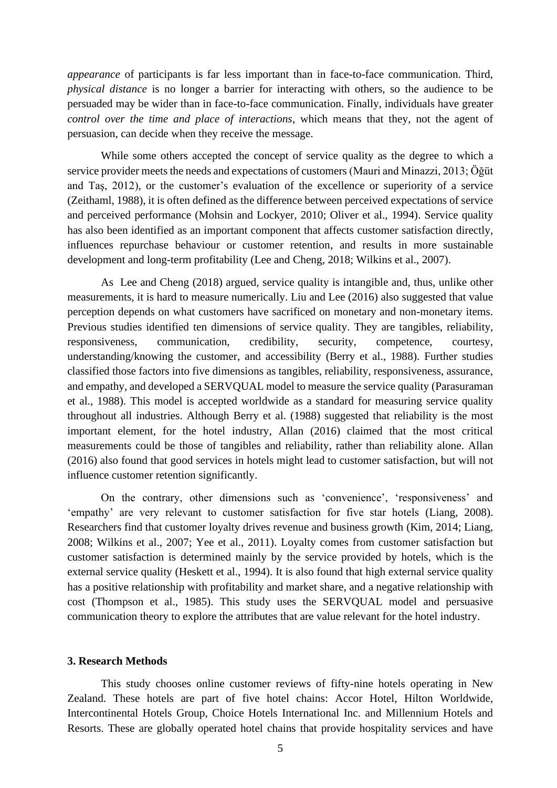*appearance* of participants is far less important than in face-to-face communication. Third, *physical distance* is no longer a barrier for interacting with others, so the audience to be persuaded may be wider than in face-to-face communication. Finally, individuals have greater *control over the time and place of interactions*, which means that they, not the agent of persuasion, can decide when they receive the message.

While some others accepted the concept of service quality as the degree to which a service provider meets the needs and expectations of customers (Mauri and Minazzi, 2013; Öğüt and Taş, 2012), or the customer's evaluation of the excellence or superiority of a service (Zeithaml, 1988), it is often defined as the difference between perceived expectations of service and perceived performance (Mohsin and Lockyer, 2010; Oliver et al., 1994). Service quality has also been identified as an important component that affects customer satisfaction directly, influences repurchase behaviour or customer retention, and results in more sustainable development and long-term profitability (Lee and Cheng, 2018; Wilkins et al., 2007).

As Lee and Cheng (2018) argued, service quality is intangible and, thus, unlike other measurements, it is hard to measure numerically. Liu and Lee (2016) also suggested that value perception depends on what customers have sacrificed on monetary and non-monetary items. Previous studies identified ten dimensions of service quality. They are tangibles, reliability, responsiveness, communication, credibility, security, competence, courtesy, understanding/knowing the customer, and accessibility (Berry et al., 1988). Further studies classified those factors into five dimensions as tangibles, reliability, responsiveness, assurance, and empathy, and developed a SERVQUAL model to measure the service quality (Parasuraman et al., 1988). This model is accepted worldwide as a standard for measuring service quality throughout all industries. Although Berry et al. (1988) suggested that reliability is the most important element, for the hotel industry, Allan (2016) claimed that the most critical measurements could be those of tangibles and reliability, rather than reliability alone. Allan (2016) also found that good services in hotels might lead to customer satisfaction, but will not influence customer retention significantly.

On the contrary, other dimensions such as 'convenience', 'responsiveness' and 'empathy' are very relevant to customer satisfaction for five star hotels (Liang, 2008). Researchers find that customer loyalty drives revenue and business growth (Kim, 2014; Liang, 2008; Wilkins et al., 2007; Yee et al., 2011). Loyalty comes from customer satisfaction but customer satisfaction is determined mainly by the service provided by hotels, which is the external service quality (Heskett et al., 1994). It is also found that high external service quality has a positive relationship with profitability and market share, and a negative relationship with cost (Thompson et al., 1985). This study uses the SERVQUAL model and persuasive communication theory to explore the attributes that are value relevant for the hotel industry.

#### **3. Research Methods**

This study chooses online customer reviews of fifty-nine hotels operating in New Zealand. These hotels are part of five hotel chains: Accor Hotel, Hilton Worldwide, Intercontinental Hotels Group, Choice Hotels International Inc. and Millennium Hotels and Resorts. These are globally operated hotel chains that provide hospitality services and have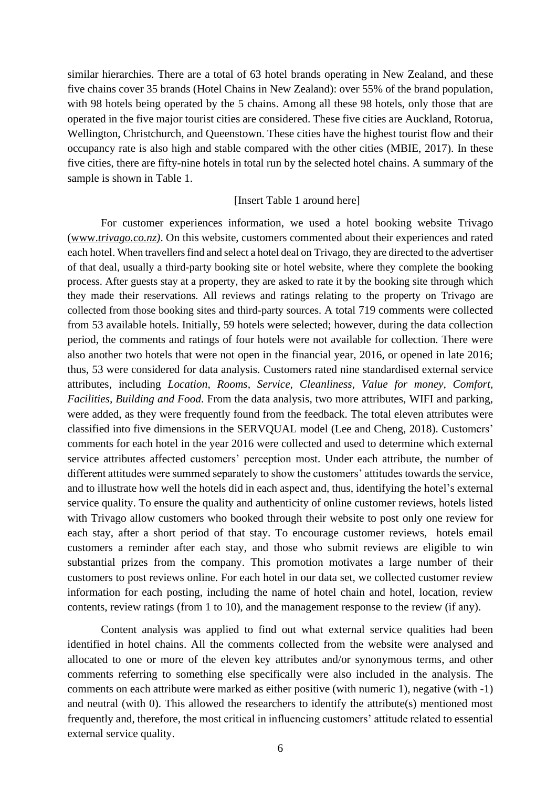similar hierarchies. There are a total of 63 hotel brands operating in New Zealand, and these five chains cover 35 brands (Hotel Chains in New Zealand): over 55% of the brand population, with 98 hotels being operated by the 5 chains. Among all these 98 hotels, only those that are operated in the five major tourist cities are considered. These five cities are Auckland, Rotorua, Wellington, Christchurch, and Queenstown. These cities have the highest tourist flow and their occupancy rate is also high and stable compared with the other cities (MBIE, 2017). In these five cities, there are fifty-nine hotels in total run by the selected hotel chains. A summary of the sample is shown in Table 1.

#### [Insert Table 1 around here]

For customer experiences information, we used a hotel booking website Trivago (www.*trivago.co.nz)*. On this website, customers commented about their experiences and rated each hotel. When travellers find and select a hotel deal on Trivago, they are directed to the advertiser of that deal, usually a third-party booking site or hotel website, where they complete the booking process. After guests stay at a property, they are asked to rate it by the booking site through which they made their reservations. All reviews and ratings relating to the property on Trivago are collected from those booking sites and third-party sources. A total 719 comments were collected from 53 available hotels. Initially, 59 hotels were selected; however, during the data collection period, the comments and ratings of four hotels were not available for collection. There were also another two hotels that were not open in the financial year, 2016, or opened in late 2016; thus, 53 were considered for data analysis. Customers rated nine standardised external service attributes, including *Location, Rooms, Service, Cleanliness, Value for money, Comfort, Facilities, Building and Food*. From the data analysis, two more attributes, WIFI and parking, were added, as they were frequently found from the feedback. The total eleven attributes were classified into five dimensions in the SERVQUAL model (Lee and Cheng, 2018). Customers' comments for each hotel in the year 2016 were collected and used to determine which external service attributes affected customers' perception most. Under each attribute, the number of different attitudes were summed separately to show the customers' attitudes towards the service, and to illustrate how well the hotels did in each aspect and, thus, identifying the hotel's external service quality. To ensure the quality and authenticity of online customer reviews, hotels listed with Trivago allow customers who booked through their website to post only one review for each stay, after a short period of that stay. To encourage customer reviews, hotels email customers a reminder after each stay, and those who submit reviews are eligible to win substantial prizes from the company. This promotion motivates a large number of their customers to post reviews online. For each hotel in our data set, we collected customer review information for each posting, including the name of hotel chain and hotel, location, review contents, review ratings (from 1 to 10), and the management response to the review (if any).

Content analysis was applied to find out what external service qualities had been identified in hotel chains. All the comments collected from the website were analysed and allocated to one or more of the eleven key attributes and/or synonymous terms, and other comments referring to something else specifically were also included in the analysis. The comments on each attribute were marked as either positive (with numeric 1), negative (with -1) and neutral (with 0). This allowed the researchers to identify the attribute(s) mentioned most frequently and, therefore, the most critical in influencing customers' attitude related to essential external service quality.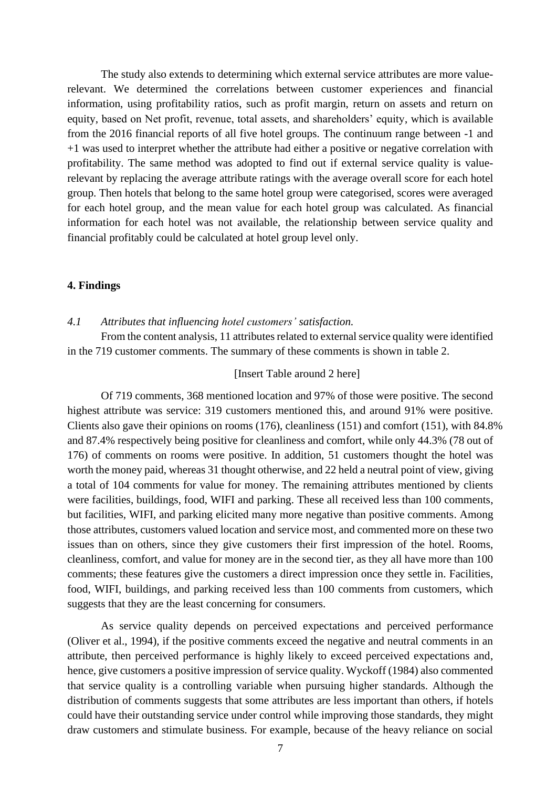The study also extends to determining which external service attributes are more valuerelevant. We determined the correlations between customer experiences and financial information, using profitability ratios, such as profit margin, return on assets and return on equity, based on Net profit, revenue, total assets, and shareholders' equity, which is available from the 2016 financial reports of all five hotel groups. The continuum range between -1 and +1 was used to interpret whether the attribute had either a positive or negative correlation with profitability. The same method was adopted to find out if external service quality is valuerelevant by replacing the average attribute ratings with the average overall score for each hotel group. Then hotels that belong to the same hotel group were categorised, scores were averaged for each hotel group, and the mean value for each hotel group was calculated. As financial information for each hotel was not available, the relationship between service quality and financial profitably could be calculated at hotel group level only.

#### **4. Findings**

#### *4.1 Attributes that influencing hotel customers' satisfaction.*

From the content analysis, 11 attributes related to external service quality were identified in the 719 customer comments. The summary of these comments is shown in table 2.

#### [Insert Table around 2 here]

Of 719 comments, 368 mentioned location and 97% of those were positive. The second highest attribute was service: 319 customers mentioned this, and around 91% were positive. Clients also gave their opinions on rooms (176), cleanliness (151) and comfort (151), with 84.8% and 87.4% respectively being positive for cleanliness and comfort, while only 44.3% (78 out of 176) of comments on rooms were positive. In addition, 51 customers thought the hotel was worth the money paid, whereas 31 thought otherwise, and 22 held a neutral point of view, giving a total of 104 comments for value for money. The remaining attributes mentioned by clients were facilities, buildings, food, WIFI and parking. These all received less than 100 comments, but facilities, WIFI, and parking elicited many more negative than positive comments. Among those attributes, customers valued location and service most, and commented more on these two issues than on others, since they give customers their first impression of the hotel. Rooms, cleanliness, comfort, and value for money are in the second tier, as they all have more than 100 comments; these features give the customers a direct impression once they settle in. Facilities, food, WIFI, buildings, and parking received less than 100 comments from customers, which suggests that they are the least concerning for consumers.

As service quality depends on perceived expectations and perceived performance (Oliver et al., 1994), if the positive comments exceed the negative and neutral comments in an attribute, then perceived performance is highly likely to exceed perceived expectations and, hence, give customers a positive impression of service quality. Wyckoff (1984) also commented that service quality is a controlling variable when pursuing higher standards. Although the distribution of comments suggests that some attributes are less important than others, if hotels could have their outstanding service under control while improving those standards, they might draw customers and stimulate business. For example, because of the heavy reliance on social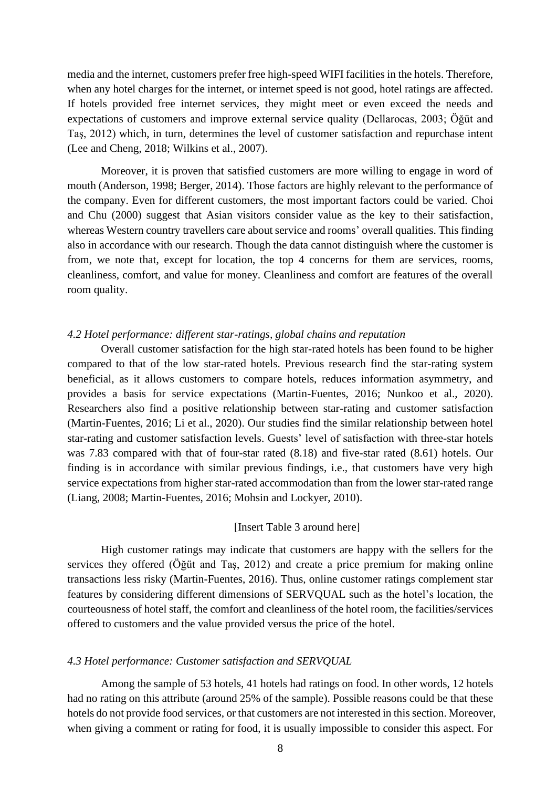media and the internet, customers prefer free high-speed WIFI facilities in the hotels. Therefore, when any hotel charges for the internet, or internet speed is not good, hotel ratings are affected. If hotels provided free internet services, they might meet or even exceed the needs and expectations of customers and improve external service quality (Dellarocas, 2003; Öğüt and Taş, 2012) which, in turn, determines the level of customer satisfaction and repurchase intent (Lee and Cheng, 2018; Wilkins et al., 2007).

Moreover, it is proven that satisfied customers are more willing to engage in word of mouth (Anderson, 1998; Berger, 2014). Those factors are highly relevant to the performance of the company. Even for different customers, the most important factors could be varied. Choi and Chu (2000) suggest that Asian visitors consider value as the key to their satisfaction, whereas Western country travellers care about service and rooms' overall qualities. This finding also in accordance with our research. Though the data cannot distinguish where the customer is from, we note that, except for location, the top 4 concerns for them are services, rooms, cleanliness, comfort, and value for money. Cleanliness and comfort are features of the overall room quality.

## *4.2 Hotel performance: different star-ratings, global chains and reputation*

Overall customer satisfaction for the high star-rated hotels has been found to be higher compared to that of the low star-rated hotels. Previous research find the star-rating system beneficial, as it allows customers to compare hotels, reduces information asymmetry, and provides a basis for service expectations (Martin-Fuentes, 2016; Nunkoo et al., 2020). Researchers also find a positive relationship between star-rating and customer satisfaction (Martin-Fuentes, 2016; Li et al., 2020). Our studies find the similar relationship between hotel star-rating and customer satisfaction levels. Guests' level of satisfaction with three-star hotels was 7.83 compared with that of four-star rated (8.18) and five-star rated (8.61) hotels. Our finding is in accordance with similar previous findings, i.e., that customers have very high service expectations from higher star-rated accommodation than from the lower star-rated range (Liang, 2008; Martin-Fuentes, 2016; Mohsin and Lockyer, 2010).

#### [Insert Table 3 around here]

High customer ratings may indicate that customers are happy with the sellers for the services they offered (Öğüt and Taş, 2012) and create a price premium for making online transactions less risky (Martin-Fuentes, 2016). Thus, online customer ratings complement star features by considering different dimensions of SERVQUAL such as the hotel's location, the courteousness of hotel staff, the comfort and cleanliness of the hotel room, the facilities/services offered to customers and the value provided versus the price of the hotel.

#### *4.3 Hotel performance: Customer satisfaction and SERVQUAL*

Among the sample of 53 hotels, 41 hotels had ratings on food. In other words, 12 hotels had no rating on this attribute (around 25% of the sample). Possible reasons could be that these hotels do not provide food services, or that customers are not interested in this section. Moreover, when giving a comment or rating for food, it is usually impossible to consider this aspect. For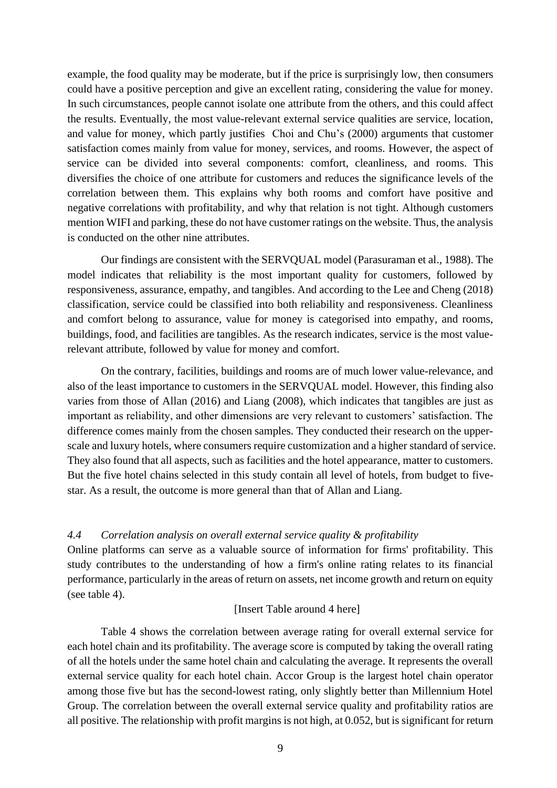example, the food quality may be moderate, but if the price is surprisingly low, then consumers could have a positive perception and give an excellent rating, considering the value for money. In such circumstances, people cannot isolate one attribute from the others, and this could affect the results. Eventually, the most value-relevant external service qualities are service, location, and value for money, which partly justifies Choi and Chu's (2000) arguments that customer satisfaction comes mainly from value for money, services, and rooms. However, the aspect of service can be divided into several components: comfort, cleanliness, and rooms. This diversifies the choice of one attribute for customers and reduces the significance levels of the correlation between them. This explains why both rooms and comfort have positive and negative correlations with profitability, and why that relation is not tight. Although customers mention WIFI and parking, these do not have customer ratings on the website. Thus, the analysis is conducted on the other nine attributes.

Our findings are consistent with the SERVQUAL model (Parasuraman et al., 1988). The model indicates that reliability is the most important quality for customers, followed by responsiveness, assurance, empathy, and tangibles. And according to the Lee and Cheng (2018) classification, service could be classified into both reliability and responsiveness. Cleanliness and comfort belong to assurance, value for money is categorised into empathy, and rooms, buildings, food, and facilities are tangibles. As the research indicates, service is the most valuerelevant attribute, followed by value for money and comfort.

On the contrary, facilities, buildings and rooms are of much lower value-relevance, and also of the least importance to customers in the SERVQUAL model. However, this finding also varies from those of Allan (2016) and Liang (2008), which indicates that tangibles are just as important as reliability, and other dimensions are very relevant to customers' satisfaction. The difference comes mainly from the chosen samples. They conducted their research on the upperscale and luxury hotels, where consumers require customization and a higher standard of service. They also found that all aspects, such as facilities and the hotel appearance, matter to customers. But the five hotel chains selected in this study contain all level of hotels, from budget to fivestar. As a result, the outcome is more general than that of Allan and Liang.

#### *4.4 Correlation analysis on overall external service quality & profitability*

Online platforms can serve as a valuable source of information for firms' profitability. This study contributes to the understanding of how a firm's online rating relates to its financial performance, particularly in the areas of return on assets, net income growth and return on equity (see table 4).

#### [Insert Table around 4 here]

Table 4 shows the correlation between average rating for overall external service for each hotel chain and its profitability. The average score is computed by taking the overall rating of all the hotels under the same hotel chain and calculating the average. It represents the overall external service quality for each hotel chain. Accor Group is the largest hotel chain operator among those five but has the second-lowest rating, only slightly better than Millennium Hotel Group. The correlation between the overall external service quality and profitability ratios are all positive. The relationship with profit margins is not high, at 0.052, but is significant for return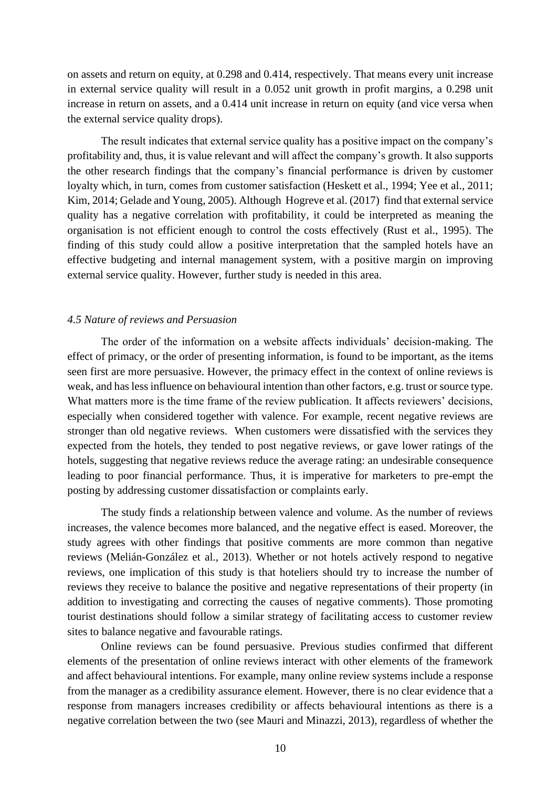on assets and return on equity, at 0.298 and 0.414, respectively. That means every unit increase in external service quality will result in a 0.052 unit growth in profit margins, a 0.298 unit increase in return on assets, and a 0.414 unit increase in return on equity (and vice versa when the external service quality drops).

The result indicates that external service quality has a positive impact on the company's profitability and, thus, it is value relevant and will affect the company's growth. It also supports the other research findings that the company's financial performance is driven by customer loyalty which, in turn, comes from customer satisfaction (Heskett et al., 1994; Yee et al., 2011; Kim, 2014; Gelade and Young, 2005). Although Hogreve et al. (2017) find that external service quality has a negative correlation with profitability, it could be interpreted as meaning the organisation is not efficient enough to control the costs effectively (Rust et al., 1995). The finding of this study could allow a positive interpretation that the sampled hotels have an effective budgeting and internal management system, with a positive margin on improving external service quality. However, further study is needed in this area.

#### *4.5 Nature of reviews and Persuasion*

The order of the information on a website affects individuals' decision-making. The effect of primacy, or the order of presenting information, is found to be important, as the items seen first are more persuasive. However, the primacy effect in the context of online reviews is weak, and has less influence on behavioural intention than other factors, e.g. trust or source type. What matters more is the time frame of the review publication. It affects reviewers' decisions, especially when considered together with valence. For example, recent negative reviews are stronger than old negative reviews. When customers were dissatisfied with the services they expected from the hotels, they tended to post negative reviews, or gave lower ratings of the hotels, suggesting that negative reviews reduce the average rating: an undesirable consequence leading to poor financial performance. Thus, it is imperative for marketers to pre-empt the posting by addressing customer dissatisfaction or complaints early.

The study finds a relationship between valence and volume. As the number of reviews increases, the valence becomes more balanced, and the negative effect is eased. Moreover, the study agrees with other findings that positive comments are more common than negative reviews (Melián-González et al., 2013). Whether or not hotels actively respond to negative reviews, one implication of this study is that hoteliers should try to increase the number of reviews they receive to balance the positive and negative representations of their property (in addition to investigating and correcting the causes of negative comments). Those promoting tourist destinations should follow a similar strategy of facilitating access to customer review sites to balance negative and favourable ratings.

Online reviews can be found persuasive. Previous studies confirmed that different elements of the presentation of online reviews interact with other elements of the framework and affect behavioural intentions. For example, many online review systems include a response from the manager as a credibility assurance element. However, there is no clear evidence that a response from managers increases credibility or affects behavioural intentions as there is a negative correlation between the two (see Mauri and Minazzi, 2013), regardless of whether the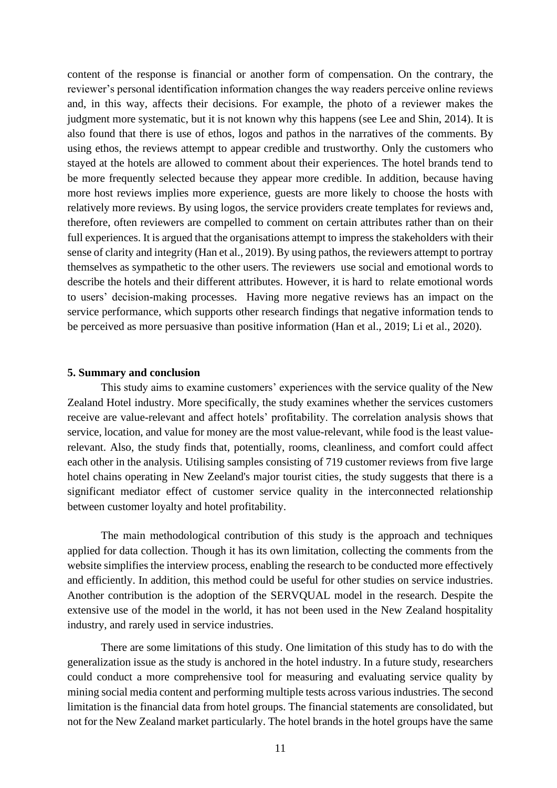content of the response is financial or another form of compensation. On the contrary, the reviewer's personal identification information changes the way readers perceive online reviews and, in this way, affects their decisions. For example, the photo of a reviewer makes the judgment more systematic, but it is not known why this happens (see Lee and Shin, 2014). It is also found that there is use of ethos, logos and pathos in the narratives of the comments. By using ethos, the reviews attempt to appear credible and trustworthy. Only the customers who stayed at the hotels are allowed to comment about their experiences. The hotel brands tend to be more frequently selected because they appear more credible. In addition, because having more host reviews implies more experience, guests are more likely to choose the hosts with relatively more reviews. By using logos, the service providers create templates for reviews and, therefore, often reviewers are compelled to comment on certain attributes rather than on their full experiences. It is argued that the organisations attempt to impress the stakeholders with their sense of clarity and integrity (Han et al., 2019). By using pathos, the reviewers attempt to portray themselves as sympathetic to the other users. The reviewers use social and emotional words to describe the hotels and their different attributes. However, it is hard to relate emotional words to users' decision-making processes. Having more negative reviews has an impact on the service performance, which supports other research findings that negative information tends to be perceived as more persuasive than positive information (Han et al., 2019; Li et al., 2020).

#### **5. Summary and conclusion**

This study aims to examine customers' experiences with the service quality of the New Zealand Hotel industry. More specifically, the study examines whether the services customers receive are value-relevant and affect hotels' profitability. The correlation analysis shows that service, location, and value for money are the most value-relevant, while food is the least valuerelevant. Also, the study finds that, potentially, rooms, cleanliness, and comfort could affect each other in the analysis. Utilising samples consisting of 719 customer reviews from five large hotel chains operating in New Zeeland's major tourist cities, the study suggests that there is a significant mediator effect of customer service quality in the interconnected relationship between customer loyalty and hotel profitability.

The main methodological contribution of this study is the approach and techniques applied for data collection. Though it has its own limitation, collecting the comments from the website simplifies the interview process, enabling the research to be conducted more effectively and efficiently. In addition, this method could be useful for other studies on service industries. Another contribution is the adoption of the SERVQUAL model in the research. Despite the extensive use of the model in the world, it has not been used in the New Zealand hospitality industry, and rarely used in service industries.

There are some limitations of this study. One limitation of this study has to do with the generalization issue as the study is anchored in the hotel industry. In a future study, researchers could conduct a more comprehensive tool for measuring and evaluating service quality by mining social media content and performing multiple tests across various industries. The second limitation is the financial data from hotel groups. The financial statements are consolidated, but not for the New Zealand market particularly. The hotel brands in the hotel groups have the same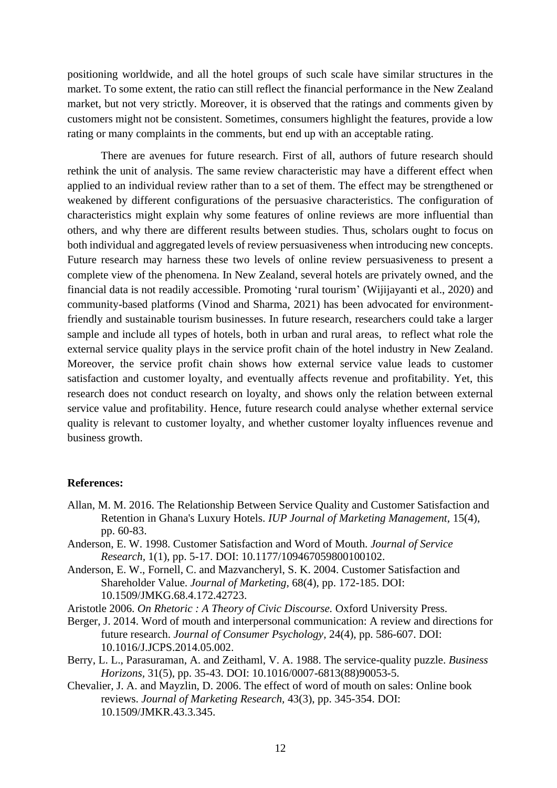positioning worldwide, and all the hotel groups of such scale have similar structures in the market. To some extent, the ratio can still reflect the financial performance in the New Zealand market, but not very strictly. Moreover, it is observed that the ratings and comments given by customers might not be consistent. Sometimes, consumers highlight the features, provide a low rating or many complaints in the comments, but end up with an acceptable rating.

There are avenues for future research. First of all, authors of future research should rethink the unit of analysis. The same review characteristic may have a different effect when applied to an individual review rather than to a set of them. The effect may be strengthened or weakened by different configurations of the persuasive characteristics. The configuration of characteristics might explain why some features of online reviews are more influential than others, and why there are different results between studies. Thus, scholars ought to focus on both individual and aggregated levels of review persuasiveness when introducing new concepts. Future research may harness these two levels of online review persuasiveness to present a complete view of the phenomena. In New Zealand, several hotels are privately owned, and the financial data is not readily accessible. Promoting 'rural tourism' (Wijijayanti et al., 2020) and community-based platforms (Vinod and Sharma, 2021) has been advocated for environmentfriendly and sustainable tourism businesses. In future research, researchers could take a larger sample and include all types of hotels, both in urban and rural areas, to reflect what role the external service quality plays in the service profit chain of the hotel industry in New Zealand. Moreover, the service profit chain shows how external service value leads to customer satisfaction and customer loyalty, and eventually affects revenue and profitability. Yet, this research does not conduct research on loyalty, and shows only the relation between external service value and profitability. Hence, future research could analyse whether external service quality is relevant to customer loyalty, and whether customer loyalty influences revenue and business growth.

#### **References:**

- Allan, M. M. 2016. The Relationship Between Service Quality and Customer Satisfaction and Retention in Ghana's Luxury Hotels. *IUP Journal of Marketing Management,* 15(4), pp. 60-83.
- Anderson, E. W. 1998. Customer Satisfaction and Word of Mouth. *Journal of Service Research,* 1(1), pp. 5-17. DOI: 10.1177/109467059800100102.
- Anderson, E. W., Fornell, C. and Mazvancheryl, S. K. 2004. Customer Satisfaction and Shareholder Value. *Journal of Marketing,* 68(4), pp. 172-185. DOI: 10.1509/JMKG.68.4.172.42723.
- Aristotle 2006. *On Rhetoric : A Theory of Civic Discourse.* Oxford University Press.
- Berger, J. 2014. Word of mouth and interpersonal communication: A review and directions for future research. *Journal of Consumer Psychology,* 24(4), pp. 586-607. DOI: 10.1016/J.JCPS.2014.05.002.
- Berry, L. L., Parasuraman, A. and Zeithaml, V. A. 1988. The service-quality puzzle. *Business Horizons,* 31(5), pp. 35-43. DOI: 10.1016/0007-6813(88)90053-5.
- Chevalier, J. A. and Mayzlin, D. 2006. The effect of word of mouth on sales: Online book reviews. *Journal of Marketing Research,* 43(3), pp. 345-354. DOI: 10.1509/JMKR.43.3.345.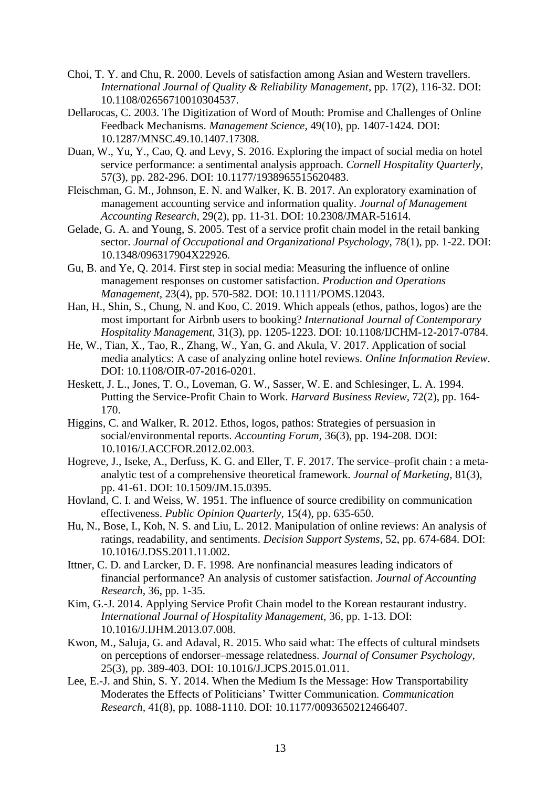- Choi, T. Y. and Chu, R. 2000. Levels of satisfaction among Asian and Western travellers. *International Journal of Quality & Reliability Management*, pp. 17(2), 116-32. DOI: 10.1108/02656710010304537.
- Dellarocas, C. 2003. The Digitization of Word of Mouth: Promise and Challenges of Online Feedback Mechanisms. *Management Science,* 49(10), pp. 1407-1424. DOI: 10.1287/MNSC.49.10.1407.17308.
- Duan, W., Yu, Y., Cao, Q. and Levy, S. 2016. Exploring the impact of social media on hotel service performance: a sentimental analysis approach. *Cornell Hospitality Quarterly,* 57(3), pp. 282-296. DOI: 10.1177/1938965515620483.
- Fleischman, G. M., Johnson, E. N. and Walker, K. B. 2017. An exploratory examination of management accounting service and information quality. *Journal of Management Accounting Research,* 29(2), pp. 11-31. DOI: 10.2308/JMAR-51614.
- Gelade, G. A. and Young, S. 2005. Test of a service profit chain model in the retail banking sector. *Journal of Occupational and Organizational Psychology,* 78(1), pp. 1-22. DOI: 10.1348/096317904X22926.
- Gu, B. and Ye, Q. 2014. First step in social media: Measuring the influence of online management responses on customer satisfaction. *Production and Operations Management,* 23(4), pp. 570-582. DOI: 10.1111/POMS.12043.
- Han, H., Shin, S., Chung, N. and Koo, C. 2019. Which appeals (ethos, pathos, logos) are the most important for Airbnb users to booking? *International Journal of Contemporary Hospitality Management,* 31(3), pp. 1205-1223. DOI: 10.1108/IJCHM-12-2017-0784.
- He, W., Tian, X., Tao, R., Zhang, W., Yan, G. and Akula, V. 2017. Application of social media analytics: A case of analyzing online hotel reviews. *Online Information Review*. DOI: 10.1108/OIR-07-2016-0201.
- Heskett, J. L., Jones, T. O., Loveman, G. W., Sasser, W. E. and Schlesinger, L. A. 1994. Putting the Service-Profit Chain to Work. *Harvard Business Review,* 72(2), pp. 164- 170.
- Higgins, C. and Walker, R. 2012. Ethos, logos, pathos: Strategies of persuasion in social/environmental reports. *Accounting Forum,* 36(3), pp. 194-208. DOI: 10.1016/J.ACCFOR.2012.02.003.
- Hogreve, J., Iseke, A., Derfuss, K. G. and Eller, T. F. 2017. The service–profit chain : a metaanalytic test of a comprehensive theoretical framework. *Journal of Marketing,* 81(3), pp. 41-61. DOI: 10.1509/JM.15.0395.
- Hovland, C. I. and Weiss, W. 1951. The influence of source credibility on communication effectiveness. *Public Opinion Quarterly,* 15(4), pp. 635-650.
- Hu, N., Bose, I., Koh, N. S. and Liu, L. 2012. Manipulation of online reviews: An analysis of ratings, readability, and sentiments. *Decision Support Systems,* 52, pp. 674-684. DOI: 10.1016/J.DSS.2011.11.002.
- Ittner, C. D. and Larcker, D. F. 1998. Are nonfinancial measures leading indicators of financial performance? An analysis of customer satisfaction. *Journal of Accounting Research,* 36, pp. 1-35.
- Kim, G.-J. 2014. Applying Service Profit Chain model to the Korean restaurant industry. *International Journal of Hospitality Management,* 36, pp. 1-13. DOI: 10.1016/J.IJHM.2013.07.008.
- Kwon, M., Saluja, G. and Adaval, R. 2015. Who said what: The effects of cultural mindsets on perceptions of endorser–message relatedness. *Journal of Consumer Psychology,* 25(3), pp. 389-403. DOI: 10.1016/J.JCPS.2015.01.011.
- Lee, E.-J. and Shin, S. Y. 2014. When the Medium Is the Message: How Transportability Moderates the Effects of Politicians' Twitter Communication. *Communication Research,* 41(8), pp. 1088-1110. DOI: 10.1177/0093650212466407.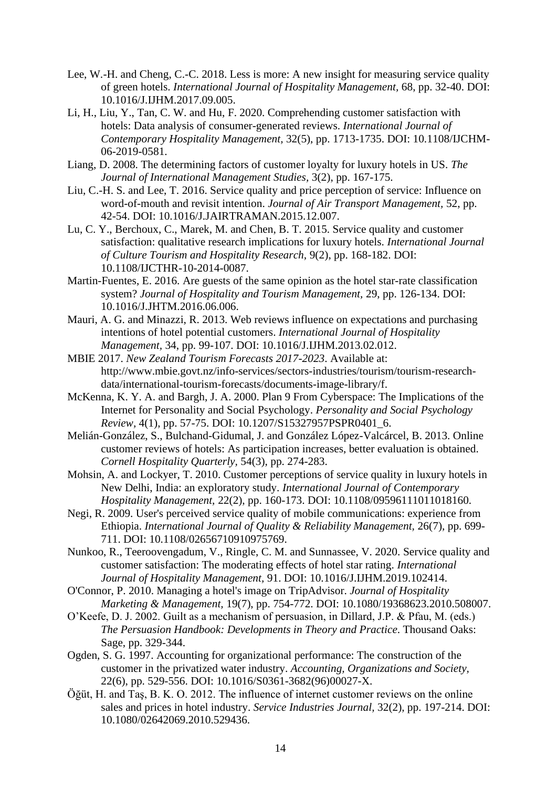- Lee, W.-H. and Cheng, C.-C. 2018. Less is more: A new insight for measuring service quality of green hotels. *International Journal of Hospitality Management,* 68, pp. 32-40. DOI: 10.1016/J.IJHM.2017.09.005.
- Li, H., Liu, Y., Tan, C. W. and Hu, F. 2020. Comprehending customer satisfaction with hotels: Data analysis of consumer-generated reviews. *International Journal of Contemporary Hospitality Management,* 32(5), pp. 1713-1735. DOI: 10.1108/IJCHM-06-2019-0581.
- Liang, D. 2008. The determining factors of customer loyalty for luxury hotels in US. *The Journal of International Management Studies,* 3(2), pp. 167-175.
- Liu, C.-H. S. and Lee, T. 2016. Service quality and price perception of service: Influence on word-of-mouth and revisit intention. *Journal of Air Transport Management,* 52, pp. 42-54. DOI: 10.1016/J.JAIRTRAMAN.2015.12.007.
- Lu, C. Y., Berchoux, C., Marek, M. and Chen, B. T. 2015. Service quality and customer satisfaction: qualitative research implications for luxury hotels. *International Journal of Culture Tourism and Hospitality Research,* 9(2), pp. 168-182. DOI: 10.1108/IJCTHR-10-2014-0087.
- Martin-Fuentes, E. 2016. Are guests of the same opinion as the hotel star-rate classification system? *Journal of Hospitality and Tourism Management,* 29, pp. 126-134. DOI: 10.1016/J.JHTM.2016.06.006.
- Mauri, A. G. and Minazzi, R. 2013. Web reviews influence on expectations and purchasing intentions of hotel potential customers. *International Journal of Hospitality Management,* 34, pp. 99-107. DOI: 10.1016/J.IJHM.2013.02.012.
- MBIE 2017. *New Zealand Tourism Forecasts 2017-2023*. Available at: http://www.mbie.govt.nz/info-services/sectors-industries/tourism/tourism-researchdata/international-tourism-forecasts/documents-image-library/f.
- McKenna, K. Y. A. and Bargh, J. A. 2000. Plan 9 From Cyberspace: The Implications of the Internet for Personality and Social Psychology. *Personality and Social Psychology Review,* 4(1), pp. 57-75. DOI: 10.1207/S15327957PSPR0401\_6.
- Melián-González, S., Bulchand-Gidumal, J. and González López-Valcárcel, B. 2013. Online customer reviews of hotels: As participation increases, better evaluation is obtained. *Cornell Hospitality Quarterly,* 54(3), pp. 274-283.
- Mohsin, A. and Lockyer, T. 2010. Customer perceptions of service quality in luxury hotels in New Delhi, India: an exploratory study. *International Journal of Contemporary Hospitality Management,* 22(2), pp. 160-173. DOI: 10.1108/09596111011018160.
- Negi, R. 2009. User's perceived service quality of mobile communications: experience from Ethiopia. *International Journal of Quality & Reliability Management,* 26(7), pp. 699- 711. DOI: 10.1108/02656710910975769.
- Nunkoo, R., Teeroovengadum, V., Ringle, C. M. and Sunnassee, V. 2020. Service quality and customer satisfaction: The moderating effects of hotel star rating. *International Journal of Hospitality Management,* 91. DOI: 10.1016/J.IJHM.2019.102414.
- O'Connor, P. 2010. Managing a hotel's image on TripAdvisor. *Journal of Hospitality Marketing & Management,* 19(7), pp. 754-772. DOI: 10.1080/19368623.2010.508007.
- O'Keefe, D. J. 2002. Guilt as a mechanism of persuasion, in Dillard, J.P. & Pfau, M. (eds.) *The Persuasion Handbook: Developments in Theory and Practice*. Thousand Oaks: Sage, pp. 329-344.
- Ogden, S. G. 1997. Accounting for organizational performance: The construction of the customer in the privatized water industry. *Accounting, Organizations and Society,* 22(6), pp. 529-556. DOI: 10.1016/S0361-3682(96)00027-X.
- Öğüt, H. and Taş, B. K. O. 2012. The influence of internet customer reviews on the online sales and prices in hotel industry. *Service Industries Journal,* 32(2), pp. 197-214. DOI: 10.1080/02642069.2010.529436.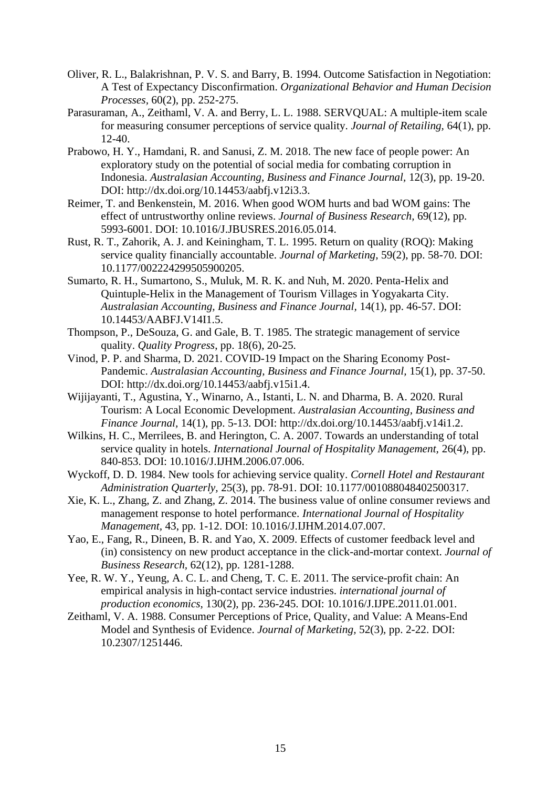- Oliver, R. L., Balakrishnan, P. V. S. and Barry, B. 1994. Outcome Satisfaction in Negotiation: A Test of Expectancy Disconfirmation. *Organizational Behavior and Human Decision Processes,* 60(2), pp. 252-275.
- Parasuraman, A., Zeithaml, V. A. and Berry, L. L. 1988. SERVQUAL: A multiple-item scale for measuring consumer perceptions of service quality. *Journal of Retailing,* 64(1), pp. 12-40.
- Prabowo, H. Y., Hamdani, R. and Sanusi, Z. M. 2018. The new face of people power: An exploratory study on the potential of social media for combating corruption in Indonesia. *Australasian Accounting, Business and Finance Journal,* 12(3), pp. 19-20. DOI: http://dx.doi.org/10.14453/aabfj.v12i3.3.
- Reimer, T. and Benkenstein, M. 2016. When good WOM hurts and bad WOM gains: The effect of untrustworthy online reviews. *Journal of Business Research,* 69(12), pp. 5993-6001. DOI: 10.1016/J.JBUSRES.2016.05.014.
- Rust, R. T., Zahorik, A. J. and Keiningham, T. L. 1995. Return on quality (ROQ): Making service quality financially accountable. *Journal of Marketing,* 59(2), pp. 58-70. DOI: 10.1177/002224299505900205.
- Sumarto, R. H., Sumartono, S., Muluk, M. R. K. and Nuh, M. 2020. Penta-Helix and Quintuple-Helix in the Management of Tourism Villages in Yogyakarta City. *Australasian Accounting, Business and Finance Journal,* 14(1), pp. 46-57. DOI: 10.14453/AABFJ.V14I1.5.
- Thompson, P., DeSouza, G. and Gale, B. T. 1985. The strategic management of service quality. *Quality Progress*, pp. 18(6), 20-25.
- Vinod, P. P. and Sharma, D. 2021. COVID-19 Impact on the Sharing Economy Post-Pandemic. *Australasian Accounting, Business and Finance Journal,* 15(1), pp. 37-50. DOI: http://dx.doi.org/10.14453/aabfj.v15i1.4.
- Wijijayanti, T., Agustina, Y., Winarno, A., Istanti, L. N. and Dharma, B. A. 2020. Rural Tourism: A Local Economic Development. *Australasian Accounting, Business and Finance Journal,* 14(1), pp. 5-13. DOI: http://dx.doi.org/10.14453/aabfj.v14i1.2.
- Wilkins, H. C., Merrilees, B. and Herington, C. A. 2007. Towards an understanding of total service quality in hotels. *International Journal of Hospitality Management,* 26(4), pp. 840-853. DOI: 10.1016/J.IJHM.2006.07.006.
- Wyckoff, D. D. 1984. New tools for achieving service quality. *Cornell Hotel and Restaurant Administration Quarterly,* 25(3), pp. 78-91. DOI: 10.1177/001088048402500317.
- Xie, K. L., Zhang, Z. and Zhang, Z. 2014. The business value of online consumer reviews and management response to hotel performance. *International Journal of Hospitality Management,* 43, pp. 1-12. DOI: 10.1016/J.IJHM.2014.07.007.
- Yao, E., Fang, R., Dineen, B. R. and Yao, X. 2009. Effects of customer feedback level and (in) consistency on new product acceptance in the click-and-mortar context. *Journal of Business Research,* 62(12), pp. 1281-1288.
- Yee, R. W. Y., Yeung, A. C. L. and Cheng, T. C. E. 2011. The service-profit chain: An empirical analysis in high-contact service industries. *international journal of production economics,* 130(2), pp. 236-245. DOI: 10.1016/J.IJPE.2011.01.001.
- Zeithaml, V. A. 1988. Consumer Perceptions of Price, Quality, and Value: A Means-End Model and Synthesis of Evidence. *Journal of Marketing,* 52(3), pp. 2-22. DOI: 10.2307/1251446.